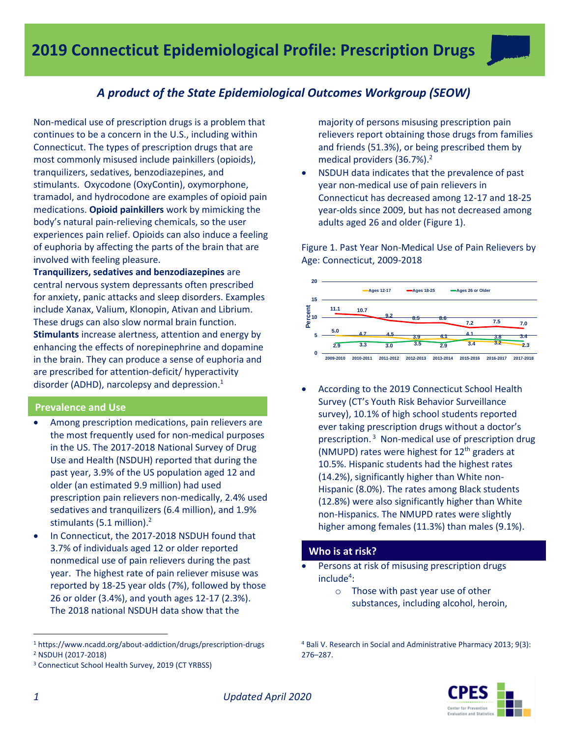

# *A product of the State Epidemiological Outcomes Workgroup (SEOW)*

Non-medical use of prescription drugs is a problem that continues to be a concern in the U.S., including within Connecticut. The types of prescription drugs that are most commonly misused include painkillers (opioids), tranquilizers, sedatives, benzodiazepines, and stimulants. Oxycodone (OxyContin), oxymorphone, tramadol, and hydrocodone are examples of opioid pain medications. **Opioid painkillers** work by mimicking the body's natural pain-relieving chemicals, so the user experiences pain relief. Opioids can also induce a feeling of euphoria by affecting the parts of the brain that are involved with feeling pleasure.

**Tranquilizers, sedatives and benzodiazepines** are central nervous system depressants often prescribed for anxiety, panic attacks and sleep disorders. Examples include Xanax, Valium, Klonopin, Ativan and Librium. These drugs can also slow normal brain function. **Stimulants** increase alertness, attention and energy by enhancing the effects of norepinephrine and dopamine in the brain. They can produce a sense of euphoria and are prescribed for attention-deficit/ hyperactivity disorder (ADHD), narcolepsy and depression. $<sup>1</sup>$ </sup>

## **Prevalence and Use**

- Among prescription medications, pain relievers are the most frequently used for non-medical purposes in the US. The 2017-2018 National Survey of Drug Use and Health (NSDUH) reported that during the past year, 3.9% of the US population aged 12 and older (an estimated 9.9 million) had used prescription pain relievers non-medically, 2.4% used sedatives and tranquilizers (6.4 million), and 1.9% stimulants (5.1 million).<sup>2</sup>
- In Connecticut, the 2017-2018 NSDUH found that 3.7% of individuals aged 12 or older reported nonmedical use of pain relievers during the past year. The highest rate of pain reliever misuse was reported by 18-25 year olds (7%), followed by those 26 or older (3.4%), and youth ages 12-17 (2.3%). The 2018 national NSDUH data show that the

majority of persons misusing prescription pain relievers report obtaining those drugs from families and friends (51.3%), or being prescribed them by medical providers (36.7%). 2

 NSDUH data indicates that the prevalence of past year non-medical use of pain relievers in Connecticut has decreased among 12-17 and 18-25 year-olds since 2009, but has not decreased among adults aged 26 and older (Figure 1).

Figure 1. Past Year Non-Medical Use of Pain Relievers by Age: Connecticut, 2009-2018



 According to the 2019 Connecticut School Health Survey (CT's Youth Risk Behavior Surveillance survey), 10.1% of high school students reported ever taking prescription drugs without a doctor's prescription.<sup>3</sup> Non-medical use of prescription drug (NMUPD) rates were highest for  $12<sup>th</sup>$  graders at 10.5%. Hispanic students had the highest rates (14.2%), significantly higher than White non-Hispanic (8.0%). The rates among Black students (12.8%) were also significantly higher than White non-Hispanics. The NMUPD rates were slightly higher among females (11.3%) than males (9.1%).

## **Who is at risk?**

- Persons at risk of misusing prescription drugs include<sup>4</sup>:
	- o Those with past year use of other substances, including alcohol, heroin,

<sup>4</sup> Bali V. Research in Social and Administrative Pharmacy 2013; 9(3): 276–287.



 $\overline{a}$ 

<sup>1</sup> https://www.ncadd.org/about-addiction/drugs/prescription-drugs

<sup>2</sup> NSDUH (2017-2018)

<sup>3</sup> Connecticut School Health Survey, 2019 (CT YRBSS)